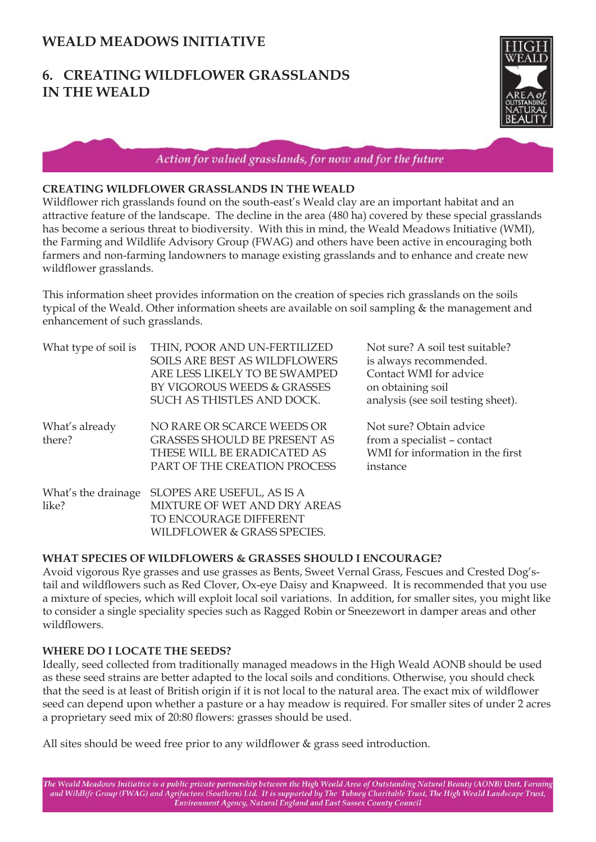# **6. CREATING WILDFLOWER GRASSLANDS IN THE WEALD**



Action for valued grasslands, for now and for the future

## **CREATING WILDFLOWER GRASSLANDS IN THE WEALD**

Wildflower rich grasslands found on the south-east's Weald clay are an important habitat and an attractive feature of the landscape. The decline in the area (480 ha) covered by these special grasslands has become a serious threat to biodiversity. With this in mind, the Weald Meadows Initiative (WMI), the Farming and Wildlife Advisory Group (FWAG) and others have been active in encouraging both farmers and non-farming landowners to manage existing grasslands and to enhance and create new wildflower grasslands.

This information sheet provides information on the creation of species rich grasslands on the soils typical of the Weald. Other information sheets are available on soil sampling & the management and enhancement of such grasslands.

| What type of soil is         | THIN, POOR AND UN-FERTILIZED<br>SOILS ARE BEST AS WILDFLOWERS<br>ARE LESS LIKELY TO BE SWAMPED<br>BY VIGOROUS WEEDS & GRASSES<br>SUCH AS THISTLES AND DOCK. | Not sure? A soil test suitable?<br>is always recommended.<br>Contact WMI for advice<br>on obtaining soil<br>analysis (see soil testing sheet). |
|------------------------------|-------------------------------------------------------------------------------------------------------------------------------------------------------------|------------------------------------------------------------------------------------------------------------------------------------------------|
| What's already<br>there?     | NO RARE OR SCARCE WEEDS OR<br><b>GRASSES SHOULD BE PRESENT AS</b><br>THESE WILL BE ERADICATED AS<br>PART OF THE CREATION PROCESS                            | Not sure? Obtain advice<br>from a specialist - contact<br>WMI for information in the first<br>instance                                         |
| What's the drainage<br>like? | SLOPES ARE USEFUL, AS IS A<br>MIXTURE OF WET AND DRY AREAS<br>TO ENCOURAGE DIFFERENT<br>WILDFLOWER & GRASS SPECIES.                                         |                                                                                                                                                |

### **WHAT SPECIES OF WILDFLOWERS & GRASSES SHOULD I ENCOURAGE?**

Avoid vigorous Rye grasses and use grasses as Bents, Sweet Vernal Grass, Fescues and Crested Dog'stail and wildflowers such as Red Clover, Ox-eye Daisy and Knapweed. It is recommended that you use a mixture of species, which will exploit local soil variations. In addition, for smaller sites, you might like to consider a single speciality species such as Ragged Robin or Sneezewort in damper areas and other wildflowers

# **WHERE DO I LOCATE THE SEEDS?**

Ideally, seed collected from traditionally managed meadows in the High Weald AONB should be used as these seed strains are better adapted to the local soils and conditions. Otherwise, you should check that the seed is at least of British origin if it is not local to the natural area. The exact mix of wildflower seed can depend upon whether a pasture or a hay meadow is required. For smaller sites of under 2 acres a proprietary seed mix of 20:80 flowers: grasses should be used.

All sites should be weed free prior to any wildflower  $\&$  grass seed introduction.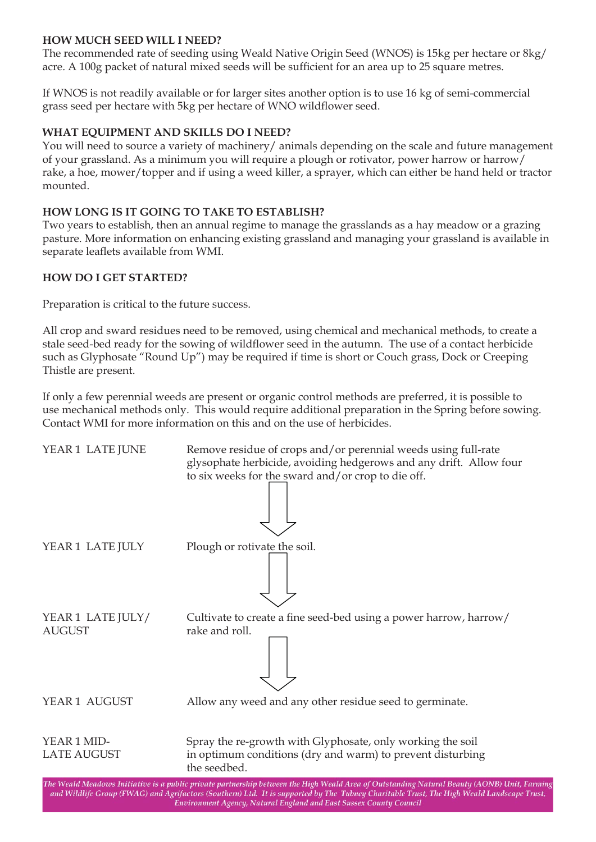# **HOW MUCH SEED WILL I NEED?**

The recommended rate of seeding using Weald Native Origin Seed (WNOS) is 15kg per hectare or 8kg/ acre. A 100g packet of natural mixed seeds will be sufficient for an area up to 25 square metres.

If WNOS is not readily available or for larger sites another option is to use 16 kg of semi-commercial grass seed per hectare with 5kg per hectare of WNO wildflower seed.

# **WHAT EQUIPMENT AND SKILLS DO I NEED?**

You will need to source a variety of machinery/ animals depending on the scale and future management of your grassland. As a minimum you will require a plough or rotivator, power harrow or harrow/ rake, a hoe, mower/topper and if using a weed killer, a sprayer, which can either be hand held or tractor mounted.

## **HOW LONG IS IT GOING TO TAKE TO ESTABLISH?**

Two years to establish, then an annual regime to manage the grasslands as a hay meadow or a grazing pasture. More information on enhancing existing grassland and managing your grassland is available in separate leaflets available from WMI.

### **HOW DO I GET STARTED?**

Preparation is critical to the future success.

All crop and sward residues need to be removed, using chemical and mechanical methods, to create a stale seed-bed ready for the sowing of wildflower seed in the autumn. The use of a contact herbicide such as Glyphosate "Round Up") may be required if time is short or Couch grass, Dock or Creeping Thistle are present.

If only a few perennial weeds are present or organic control methods are preferred, it is possible to use mechanical methods only. This would require additional preparation in the Spring before sowing. Contact WMI for more information on this and on the use of herbicides.

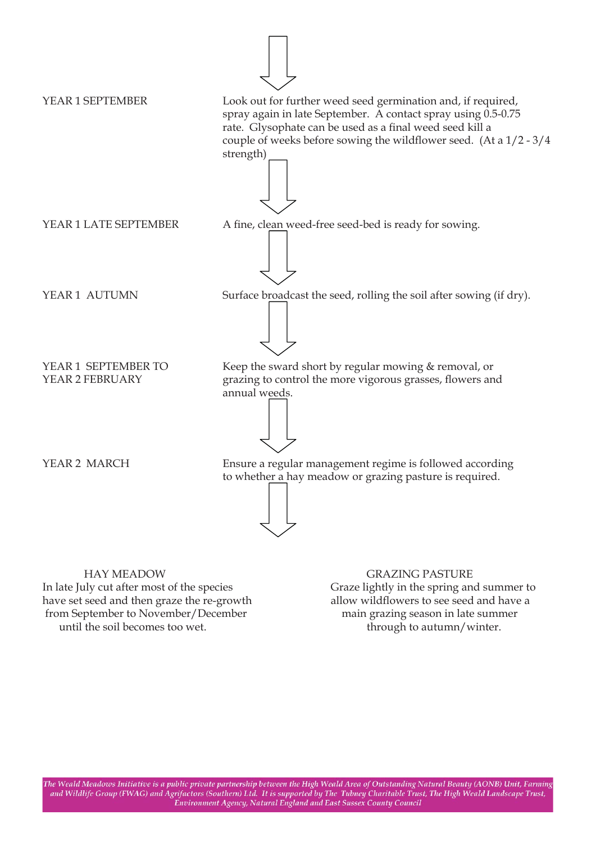

 HAY MEADOW GRAZING PASTURE In late July cut after most of the species Graze lightly in the spring and summer to have set seed and then graze the re-growth allow wildflowers to see seed and have a from September to November/December main grazing season in late summer until the soil becomes too wet. through to autumn/winter.